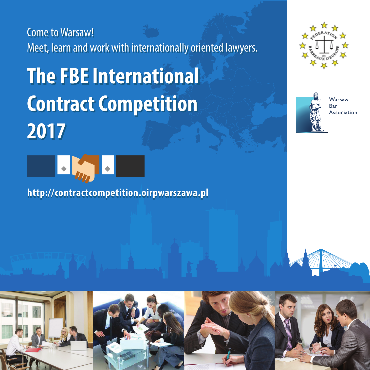Come to Warsaw! Come to Warsaw! Meet, learn and work with internationally oriented lawyers. Meet, learn and work with internationally oriented lawyers.

# **The FBE International The FBE International Contract Competition Contract Competition 2017 2017**

**http://contractcompetition.oirpwarszawa.pl**





Warsaw Bar Association



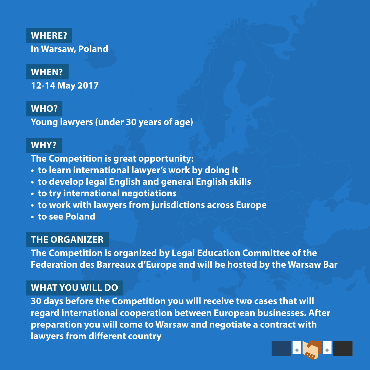#### **Where?**

**In Warsaw, Poland**

#### **When?**

**12-14 May 2017**

## **Who?**

**Young lawyers (under 30 years of age)**

# **Why?**

**The Competition is great opportunity:**

- **to learn international lawyer's work by doing it**
- **to develop legal English and general English skills**
- **to try international negotiations**
- **to work with lawyers from jurisdictions across Europe**
- **to see Poland**

### **The organizer**

**The Competition is organized by Legal Education Committee of the Federation des Barreaux d'Europe and will be hosted by the Warsaw Bar**

#### **WHAT YOU WILL DO**

**30 days before the Competition you will receive two cases that will regard international cooperation between European businesses. After preparation you will come to Warsaw and negotiate a contract with lawyers from different country**